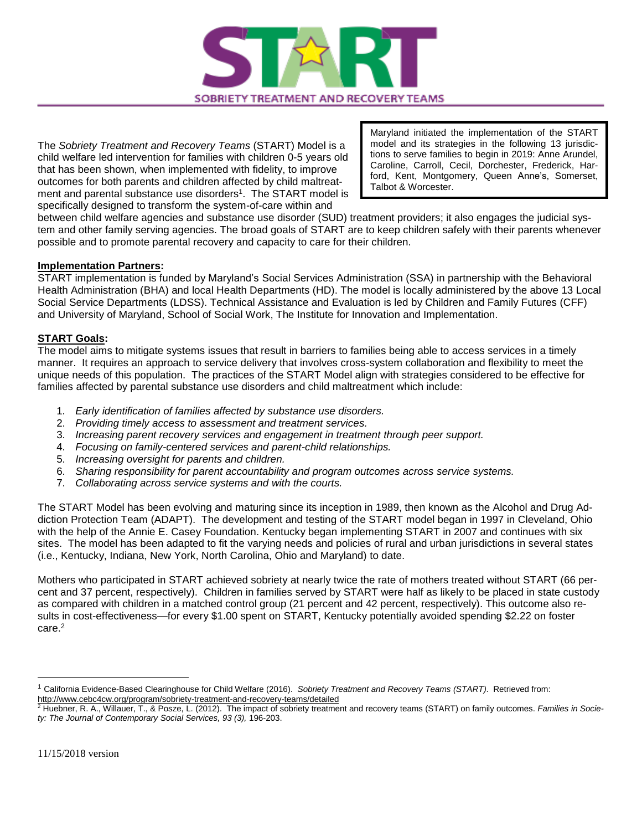

The *Sobriety Treatment and Recovery Teams* (START) Model is a child welfare led intervention for families with children 0-5 years old that has been shown, when implemented with fidelity, to improve outcomes for both parents and children affected by child maltreatment and parental substance use disorders<sup>1</sup>. The START model is specifically designed to transform the system-of-care within and

Maryland initiated the implementation of the START model and its strategies in the following 13 jurisdictions to serve families to begin in 2019: Anne Arundel, Caroline, Carroll, Cecil, Dorchester, Frederick, Harford, Kent, Montgomery, Queen Anne's, Somerset, Talbot & Worcester.

between child welfare agencies and substance use disorder (SUD) treatment providers; it also engages the judicial system and other family serving agencies. The broad goals of START are to keep children safely with their parents whenever possible and to promote parental recovery and capacity to care for their children.

## **Implementation Partners:**

START implementation is funded by Maryland's Social Services Administration (SSA) in partnership with the Behavioral Health Administration (BHA) and local Health Departments (HD). The model is locally administered by the above 13 Local Social Service Departments (LDSS). Technical Assistance and Evaluation is led by Children and Family Futures (CFF) and University of Maryland, School of Social Work, The Institute for Innovation and Implementation.

## **START Goals:**

The model aims to mitigate systems issues that result in barriers to families being able to access services in a timely manner. It requires an approach to service delivery that involves cross-system collaboration and flexibility to meet the unique needs of this population. The practices of the START Model align with strategies considered to be effective for families affected by parental substance use disorders and child maltreatment which include:

- 1. *Early identification of families affected by substance use disorders.*
- 2. *Providing timely access to assessment and treatment services.*
- 3. *Increasing parent recovery services and engagement in treatment through peer support.*
- 4. *Focusing on family-centered services and parent-child relationships.*
- 5. *Increasing oversight for parents and children.*
- 6. *Sharing responsibility for parent accountability and program outcomes across service systems.*
- 7. *Collaborating across service systems and with the courts.*

The START Model has been evolving and maturing since its inception in 1989, then known as the Alcohol and Drug Addiction Protection Team (ADAPT). The development and testing of the START model began in 1997 in Cleveland, Ohio with the help of the Annie E. Casey Foundation. Kentucky began implementing START in 2007 and continues with six sites. The model has been adapted to fit the varying needs and policies of rural and urban jurisdictions in several states (i.e., Kentucky, Indiana, New York, North Carolina, Ohio and Maryland) to date.

Mothers who participated in START achieved sobriety at nearly twice the rate of mothers treated without START (66 percent and 37 percent, respectively). Children in families served by START were half as likely to be placed in state custody as compared with children in a matched control group (21 percent and 42 percent, respectively). This outcome also results in cost-effectiveness—for every \$1.00 spent on START, Kentucky potentially avoided spending \$2.22 on foster care.<sup>2</sup>

 $\overline{a}$ 

<sup>1</sup> California Evidence-Based Clearinghouse for Child Welfare (2016). *Sobriety Treatment and Recovery Teams (START)*. Retrieved from: <http://www.cebc4cw.org/program/sobriety-treatment-and-recovery-teams/detailed>

<sup>2</sup> Huebner, R. A., Willauer, T., & Posze, L. (2012). The impact of sobriety treatment and recovery teams (START) on family outcomes. *Families in Society: The Journal of Contemporary Social Services, 93 (3),* 196-203.